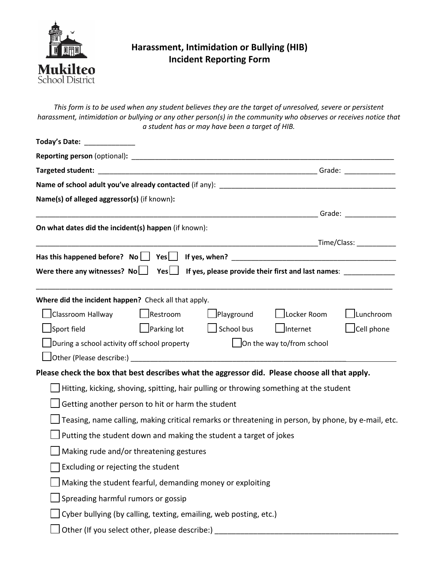

## **Harassment, Intimidation or Bullying (HIB) Incident Reporting Form**

*This form is to be used when any student believes they are the target of unresolved, severe or persistent harassment, intimidation or bullying or any other person(s) in the community who observes or receives notice that a student has or may have been a target of HIB.*

| Today's Date: _____________                                                                        |                    |                   |                                                              |            |
|----------------------------------------------------------------------------------------------------|--------------------|-------------------|--------------------------------------------------------------|------------|
|                                                                                                    |                    |                   |                                                              |            |
|                                                                                                    |                    |                   |                                                              |            |
|                                                                                                    |                    |                   |                                                              |            |
| Name(s) of alleged aggressor(s) (if known):                                                        |                    |                   |                                                              |            |
|                                                                                                    |                    |                   | <u>die in die Staatsman van die Staatsman van die Grade:</u> |            |
| On what dates did the incident(s) happen (if known):                                               |                    |                   |                                                              |            |
|                                                                                                    |                    |                   |                                                              |            |
|                                                                                                    |                    |                   |                                                              |            |
|                                                                                                    |                    |                   |                                                              |            |
|                                                                                                    |                    |                   |                                                              |            |
| Where did the incident happen? Check all that apply.                                               |                    |                   |                                                              |            |
| □ Classroom Hallway □ Restroom                                                                     |                    | $\Box$ Playground | $\Box$ Locker Room                                           | Lunchroom  |
| Sport field                                                                                        | $\Box$ Parking lot | $\Box$ School bus | Internet                                                     | Cell phone |
| $\Box$ During a school activity off school property                                                |                    |                   | $\Box$ On the way to/from school                             |            |
|                                                                                                    |                    |                   |                                                              |            |
| Please check the box that best describes what the aggressor did. Please choose all that apply.     |                    |                   |                                                              |            |
| Hitting, kicking, shoving, spitting, hair pulling or throwing something at the student             |                    |                   |                                                              |            |
| Getting another person to hit or harm the student                                                  |                    |                   |                                                              |            |
| Teasing, name calling, making critical remarks or threatening in person, by phone, by e-mail, etc. |                    |                   |                                                              |            |
| Putting the student down and making the student a target of jokes                                  |                    |                   |                                                              |            |
| Making rude and/or threatening gestures                                                            |                    |                   |                                                              |            |
| Excluding or rejecting the student                                                                 |                    |                   |                                                              |            |
| Making the student fearful, demanding money or exploiting                                          |                    |                   |                                                              |            |
| Spreading harmful rumors or gossip                                                                 |                    |                   |                                                              |            |
| Cyber bullying (by calling, texting, emailing, web posting, etc.)                                  |                    |                   |                                                              |            |
| Other (If you select other, please describe:)                                                      |                    |                   |                                                              |            |